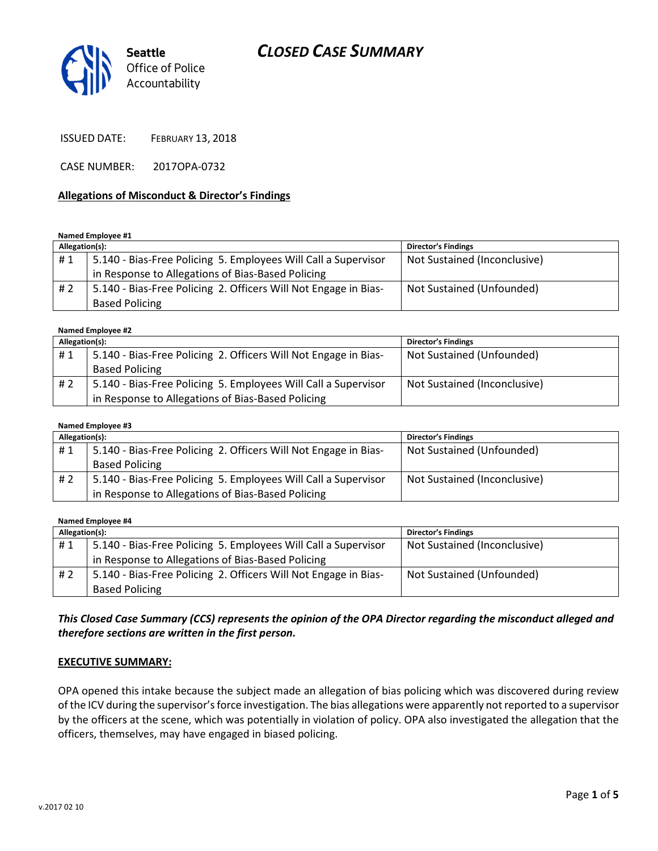## CLOSED CASE SUMMARY



ISSUED DATE: FEBRUARY 13, 2018

CASE NUMBER: 2017OPA-0732

#### Allegations of Misconduct & Director's Findings

Named Employee #1

| Allegation(s): |                                                                 | <b>Director's Findings</b>   |
|----------------|-----------------------------------------------------------------|------------------------------|
| #1             | 5.140 - Bias-Free Policing 5. Employees Will Call a Supervisor  | Not Sustained (Inconclusive) |
|                | in Response to Allegations of Bias-Based Policing               |                              |
| #2             | 5.140 - Bias-Free Policing 2. Officers Will Not Engage in Bias- | Not Sustained (Unfounded)    |
|                | <b>Based Policing</b>                                           |                              |

#### Named Employee #2

| Allegation(s): |                                                                 | <b>Director's Findings</b>   |
|----------------|-----------------------------------------------------------------|------------------------------|
| #1             | 5.140 - Bias-Free Policing 2. Officers Will Not Engage in Bias- | Not Sustained (Unfounded)    |
|                | <b>Based Policing</b>                                           |                              |
| #2             | 5.140 - Bias-Free Policing 5. Employees Will Call a Supervisor  | Not Sustained (Inconclusive) |
|                | in Response to Allegations of Bias-Based Policing               |                              |

#### Named Employee #3

| Allegation(s): |                                                                 | <b>Director's Findings</b>   |
|----------------|-----------------------------------------------------------------|------------------------------|
| #1             | 5.140 - Bias-Free Policing 2. Officers Will Not Engage in Bias- | Not Sustained (Unfounded)    |
|                | <b>Based Policing</b>                                           |                              |
| #2             | 5.140 - Bias-Free Policing 5. Employees Will Call a Supervisor  | Not Sustained (Inconclusive) |
|                | in Response to Allegations of Bias-Based Policing               |                              |

Named Employee #4

| Allegation(s): |                                                                 | <b>Director's Findings</b>   |
|----------------|-----------------------------------------------------------------|------------------------------|
| #1             | 5.140 - Bias-Free Policing 5. Employees Will Call a Supervisor  | Not Sustained (Inconclusive) |
|                | in Response to Allegations of Bias-Based Policing               |                              |
| #2             | 5.140 - Bias-Free Policing 2. Officers Will Not Engage in Bias- | Not Sustained (Unfounded)    |
|                | <b>Based Policing</b>                                           |                              |

## This Closed Case Summary (CCS) represents the opinion of the OPA Director regarding the misconduct alleged and therefore sections are written in the first person.

#### EXECUTIVE SUMMARY:

OPA opened this intake because the subject made an allegation of bias policing which was discovered during review of the ICV during the supervisor's force investigation. The bias allegations were apparently not reported to a supervisor by the officers at the scene, which was potentially in violation of policy. OPA also investigated the allegation that the officers, themselves, may have engaged in biased policing.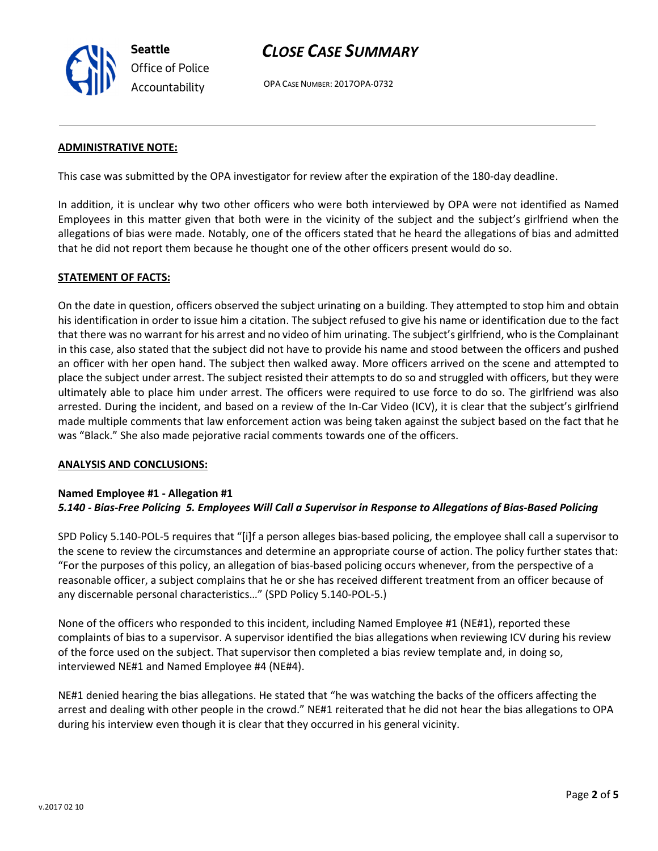

## CLOSE CASE SUMMARY

OPA CASE NUMBER: 2017OPA-0732

#### ADMINISTRATIVE NOTE:

This case was submitted by the OPA investigator for review after the expiration of the 180-day deadline.

In addition, it is unclear why two other officers who were both interviewed by OPA were not identified as Named Employees in this matter given that both were in the vicinity of the subject and the subject's girlfriend when the allegations of bias were made. Notably, one of the officers stated that he heard the allegations of bias and admitted that he did not report them because he thought one of the other officers present would do so.

#### STATEMENT OF FACTS:

On the date in question, officers observed the subject urinating on a building. They attempted to stop him and obtain his identification in order to issue him a citation. The subject refused to give his name or identification due to the fact that there was no warrant for his arrest and no video of him urinating. The subject's girlfriend, who is the Complainant in this case, also stated that the subject did not have to provide his name and stood between the officers and pushed an officer with her open hand. The subject then walked away. More officers arrived on the scene and attempted to place the subject under arrest. The subject resisted their attempts to do so and struggled with officers, but they were ultimately able to place him under arrest. The officers were required to use force to do so. The girlfriend was also arrested. During the incident, and based on a review of the In-Car Video (ICV), it is clear that the subject's girlfriend made multiple comments that law enforcement action was being taken against the subject based on the fact that he was "Black." She also made pejorative racial comments towards one of the officers.

#### ANALYSIS AND CONCLUSIONS:

#### Named Employee #1 - Allegation #1 5.140 - Bias-Free Policing 5. Employees Will Call a Supervisor in Response to Allegations of Bias-Based Policing

SPD Policy 5.140-POL-5 requires that "[i]f a person alleges bias-based policing, the employee shall call a supervisor to the scene to review the circumstances and determine an appropriate course of action. The policy further states that: "For the purposes of this policy, an allegation of bias-based policing occurs whenever, from the perspective of a reasonable officer, a subject complains that he or she has received different treatment from an officer because of any discernable personal characteristics…" (SPD Policy 5.140-POL-5.)

None of the officers who responded to this incident, including Named Employee #1 (NE#1), reported these complaints of bias to a supervisor. A supervisor identified the bias allegations when reviewing ICV during his review of the force used on the subject. That supervisor then completed a bias review template and, in doing so, interviewed NE#1 and Named Employee #4 (NE#4).

NE#1 denied hearing the bias allegations. He stated that "he was watching the backs of the officers affecting the arrest and dealing with other people in the crowd." NE#1 reiterated that he did not hear the bias allegations to OPA during his interview even though it is clear that they occurred in his general vicinity.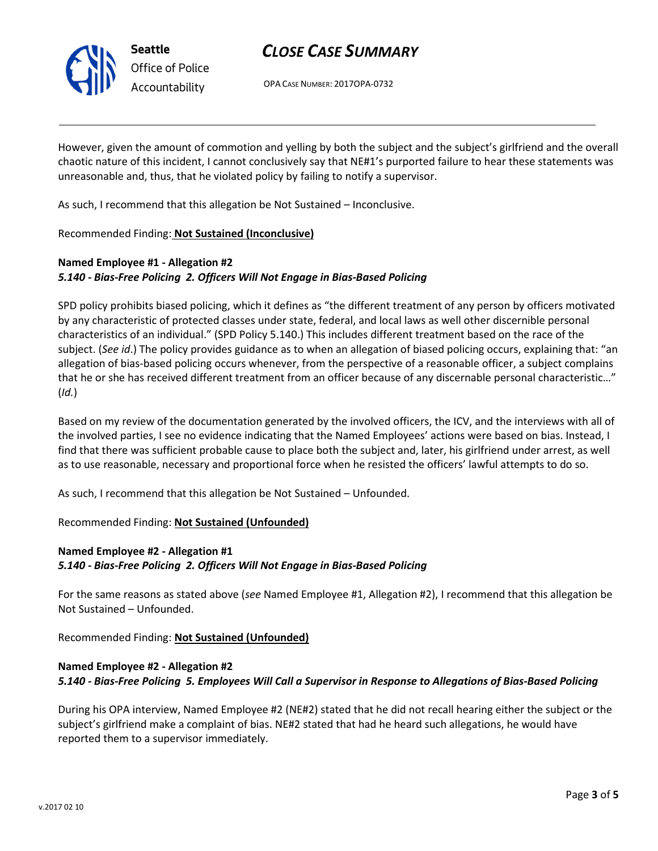

Seattle Office of Police Accountability

# CLOSE CASE SUMMARY

OPA CASE NUMBER: 2017OPA-0732

However, given the amount of commotion and yelling by both the subject and the subject's girlfriend and the overall chaotic nature of this incident, I cannot conclusively say that NE#1's purported failure to hear these statements was unreasonable and, thus, that he violated policy by failing to notify a supervisor.

As such, I recommend that this allegation be Not Sustained – Inconclusive.

Recommended Finding: Not Sustained (Inconclusive)

## Named Employee #1 - Allegation #2 5.140 - Bias-Free Policing 2. Officers Will Not Engage in Bias-Based Policing

SPD policy prohibits biased policing, which it defines as "the different treatment of any person by officers motivated by any characteristic of protected classes under state, federal, and local laws as well other discernible personal characteristics of an individual." (SPD Policy 5.140.) This includes different treatment based on the race of the subject. (See id.) The policy provides guidance as to when an allegation of biased policing occurs, explaining that: "an allegation of bias-based policing occurs whenever, from the perspective of a reasonable officer, a subject complains that he or she has received different treatment from an officer because of any discernable personal characteristic…"  $(Id.)$ 

Based on my review of the documentation generated by the involved officers, the ICV, and the interviews with all of the involved parties, I see no evidence indicating that the Named Employees' actions were based on bias. Instead, I find that there was sufficient probable cause to place both the subject and, later, his girlfriend under arrest, as well as to use reasonable, necessary and proportional force when he resisted the officers' lawful attempts to do so.

As such, I recommend that this allegation be Not Sustained – Unfounded.

## Recommended Finding: Not Sustained (Unfounded)

## Named Employee #2 - Allegation #1 5.140 - Bias-Free Policing 2. Officers Will Not Engage in Bias-Based Policing

For the same reasons as stated above (see Named Employee #1, Allegation #2), I recommend that this allegation be Not Sustained – Unfounded.

Recommended Finding: Not Sustained (Unfounded)

## Named Employee #2 - Allegation #2 5.140 - Bias-Free Policing 5. Employees Will Call a Supervisor in Response to Allegations of Bias-Based Policing

During his OPA interview, Named Employee #2 (NE#2) stated that he did not recall hearing either the subject or the subject's girlfriend make a complaint of bias. NE#2 stated that had he heard such allegations, he would have reported them to a supervisor immediately.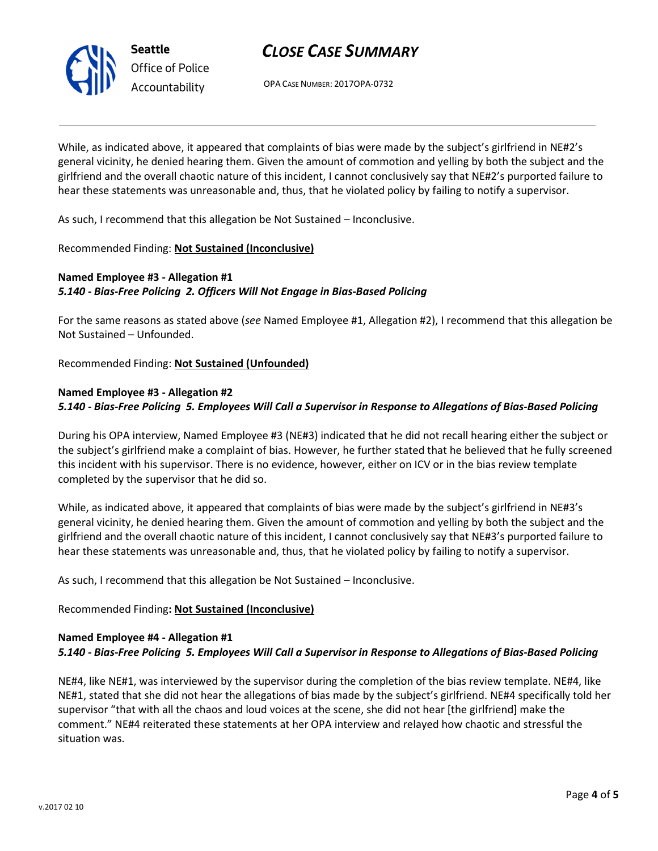

# CLOSE CASE SUMMARY

OPA CASE NUMBER: 2017OPA-0732

While, as indicated above, it appeared that complaints of bias were made by the subject's girlfriend in NE#2's general vicinity, he denied hearing them. Given the amount of commotion and yelling by both the subject and the girlfriend and the overall chaotic nature of this incident, I cannot conclusively say that NE#2's purported failure to hear these statements was unreasonable and, thus, that he violated policy by failing to notify a supervisor.

As such, I recommend that this allegation be Not Sustained – Inconclusive.

### Recommended Finding: Not Sustained (Inconclusive)

### Named Employee #3 - Allegation #1 5.140 - Bias-Free Policing 2. Officers Will Not Engage in Bias-Based Policing

For the same reasons as stated above (see Named Employee #1, Allegation #2), I recommend that this allegation be Not Sustained – Unfounded.

Recommended Finding: Not Sustained (Unfounded)

## Named Employee #3 - Allegation #2

### 5.140 - Bias-Free Policing 5. Employees Will Call a Supervisor in Response to Allegations of Bias-Based Policing

During his OPA interview, Named Employee #3 (NE#3) indicated that he did not recall hearing either the subject or the subject's girlfriend make a complaint of bias. However, he further stated that he believed that he fully screened this incident with his supervisor. There is no evidence, however, either on ICV or in the bias review template completed by the supervisor that he did so.

While, as indicated above, it appeared that complaints of bias were made by the subject's girlfriend in NE#3's general vicinity, he denied hearing them. Given the amount of commotion and yelling by both the subject and the girlfriend and the overall chaotic nature of this incident, I cannot conclusively say that NE#3's purported failure to hear these statements was unreasonable and, thus, that he violated policy by failing to notify a supervisor.

As such, I recommend that this allegation be Not Sustained – Inconclusive.

## Recommended Finding: Not Sustained (Inconclusive)

#### Named Employee #4 - Allegation #1 5.140 - Bias-Free Policing 5. Employees Will Call a Supervisor in Response to Allegations of Bias-Based Policing

NE#4, like NE#1, was interviewed by the supervisor during the completion of the bias review template. NE#4, like NE#1, stated that she did not hear the allegations of bias made by the subject's girlfriend. NE#4 specifically told her supervisor "that with all the chaos and loud voices at the scene, she did not hear [the girlfriend] make the comment." NE#4 reiterated these statements at her OPA interview and relayed how chaotic and stressful the situation was.